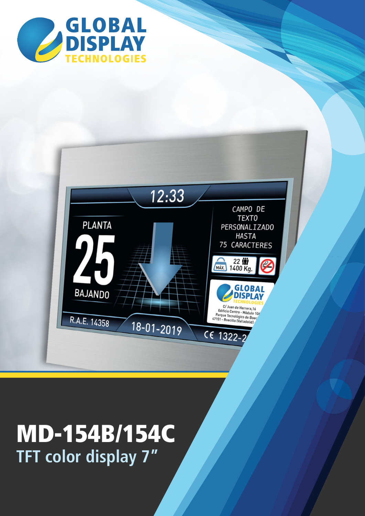



### **TFT color display 7"** MD-154B/154C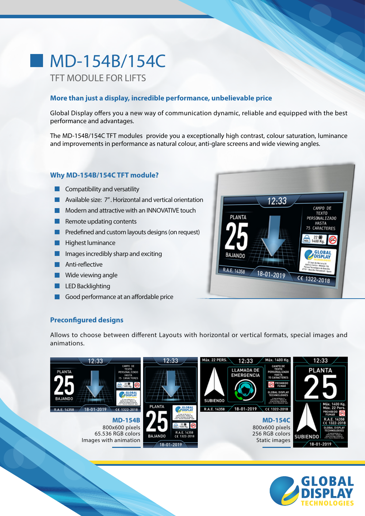# **MD-154B/154C**

### TFT MODULE FOR LIFTS

#### **More than just a display, incredible performance, unbelievable price**

Global Display offers you a new way of communication dynamic, reliable and equipped with the best performance and advantages.

The MD-154B/154C TFT modules provide you a exceptionally high contrast, colour saturation, luminance and improvements in performance as natural colour, anti-glare screens and wide viewing angles.

#### **Why MD-154B/154C TFT module?**

- $\blacksquare$  Compatibility and versatility
- **Available size: 7". Horizontal and vertical orientation**
- **Modern and attractive with an INNOVATIVE touch**
- Remote updating contents
- $\blacksquare$  Predefined and custom layouts designs (on request)
- **Highest luminance**
- **Images incredibly sharp and exciting**
- $\blacksquare$  Anti-reflective
- **Wide viewing angle**
- **LED Backlighting**
- $\blacksquare$  Good performance at an affordable price



#### **Preconfigured designs**

Allows to choose between different Layouts with horizontal or vertical formats, special images and animations.



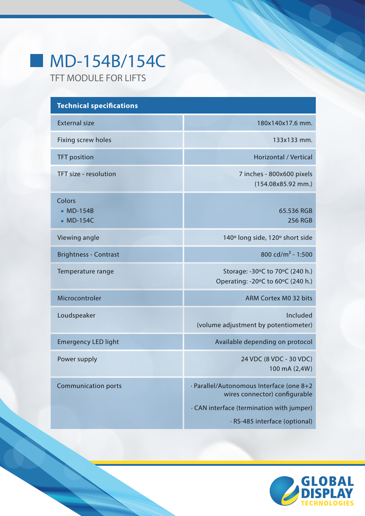## MD-154B/154C

TFT MODULE FOR LIFTS

 $\mathcal{L}^{\mathcal{L}}$ 

| <b>Technical specifications</b>  |                                                                                                                                                         |
|----------------------------------|---------------------------------------------------------------------------------------------------------------------------------------------------------|
| <b>External size</b>             | 180x140x17.6 mm.                                                                                                                                        |
| Fixing screw holes               | 133x133 mm.                                                                                                                                             |
| <b>TFT</b> position              | Horizontal / Vertical                                                                                                                                   |
| TFT size - resolution            | 7 inches - 800x600 pixels<br>(154.08x85.92 mm.)                                                                                                         |
| Colors<br>$MD-154B$<br>■ MD-154C | 65.536 RGB<br>256 RGB                                                                                                                                   |
| Viewing angle                    | 140° long side, 120° short side                                                                                                                         |
| <b>Brightness - Contrast</b>     | 800 cd/m <sup>2</sup> - 1:500                                                                                                                           |
| Temperature range                | Storage: -30°C to 70°C (240 h.)<br>Operating: -20°C to 60°C (240 h.)                                                                                    |
| Microcontroler                   | ARM Cortex M0 32 bits                                                                                                                                   |
| Loudspeaker                      | Included<br>(volume adjustment by potentiometer)                                                                                                        |
| <b>Emergency LED light</b>       | Available depending on protocol                                                                                                                         |
| Power supply                     | 24 VDC (8 VDC - 30 VDC)<br>100 mA (2,4W)                                                                                                                |
| <b>Communication ports</b>       | · Parallel/Autonomous Interface (one 8+2<br>wires connector) configurable<br>· CAN interface (termination with jumper)<br>· RS-485 interface (optional) |